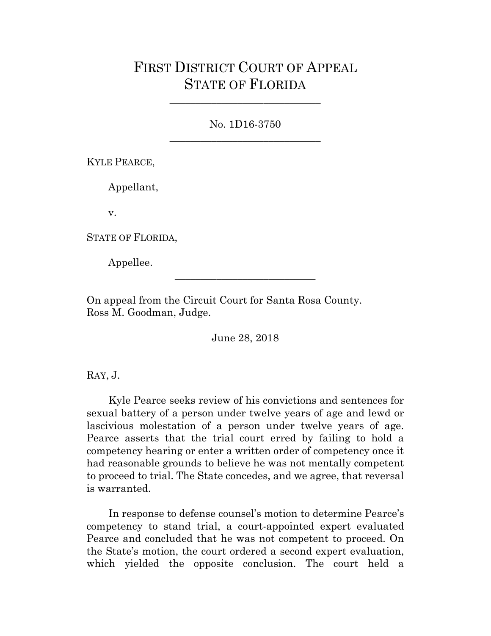## FIRST DISTRICT COURT OF APPEAL STATE OF FLORIDA

No. 1D16-3750 \_\_\_\_\_\_\_\_\_\_\_\_\_\_\_\_\_\_\_\_\_\_\_\_\_\_\_\_\_

\_\_\_\_\_\_\_\_\_\_\_\_\_\_\_\_\_\_\_\_\_\_\_\_\_\_\_\_\_

KYLE PEARCE,

Appellant,

v.

STATE OF FLORIDA,

Appellee.

On appeal from the Circuit Court for Santa Rosa County. Ross M. Goodman, Judge.

June 28, 2018

\_\_\_\_\_\_\_\_\_\_\_\_\_\_\_\_\_\_\_\_\_\_\_\_\_\_\_

RAY, J.

Kyle Pearce seeks review of his convictions and sentences for sexual battery of a person under twelve years of age and lewd or lascivious molestation of a person under twelve years of age. Pearce asserts that the trial court erred by failing to hold a competency hearing or enter a written order of competency once it had reasonable grounds to believe he was not mentally competent to proceed to trial. The State concedes, and we agree, that reversal is warranted.

In response to defense counsel's motion to determine Pearce's competency to stand trial, a court-appointed expert evaluated Pearce and concluded that he was not competent to proceed. On the State's motion, the court ordered a second expert evaluation, which yielded the opposite conclusion. The court held a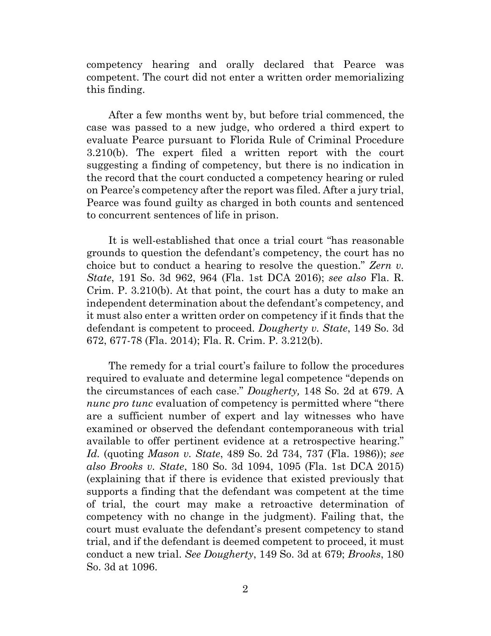competency hearing and orally declared that Pearce was competent. The court did not enter a written order memorializing this finding.

After a few months went by, but before trial commenced, the case was passed to a new judge, who ordered a third expert to evaluate Pearce pursuant to Florida Rule of Criminal Procedure 3.210(b). The expert filed a written report with the court suggesting a finding of competency, but there is no indication in the record that the court conducted a competency hearing or ruled on Pearce's competency after the report was filed. After a jury trial, Pearce was found guilty as charged in both counts and sentenced to concurrent sentences of life in prison.

It is well-established that once a trial court "has reasonable grounds to question the defendant's competency, the court has no choice but to conduct a hearing to resolve the question." *Zern v. State*, 191 So. 3d 962, 964 (Fla. 1st DCA 2016); *see also* Fla. R. Crim. P. 3.210(b). At that point, the court has a duty to make an independent determination about the defendant's competency, and it must also enter a written order on competency if it finds that the defendant is competent to proceed. *Dougherty v. State*, 149 So. 3d 672, 677-78 (Fla. 2014); Fla. R. Crim. P. 3.212(b).

The remedy for a trial court's failure to follow the procedures required to evaluate and determine legal competence "depends on the circumstances of each case." *Dougherty,* 148 So. 2d at 679. A *nunc pro tunc* evaluation of competency is permitted where "there" are a sufficient number of expert and lay witnesses who have examined or observed the defendant contemporaneous with trial available to offer pertinent evidence at a retrospective hearing." *Id.* (quoting *Mason v. State*, 489 So. 2d 734, 737 (Fla. 1986)); *see also Brooks v. State*, 180 So. 3d 1094, 1095 (Fla. 1st DCA 2015) (explaining that if there is evidence that existed previously that supports a finding that the defendant was competent at the time of trial, the court may make a retroactive determination of competency with no change in the judgment). Failing that, the court must evaluate the defendant's present competency to stand trial, and if the defendant is deemed competent to proceed, it must conduct a new trial. *See Dougherty*, 149 So. 3d at 679; *Brooks*, 180 So. 3d at 1096.